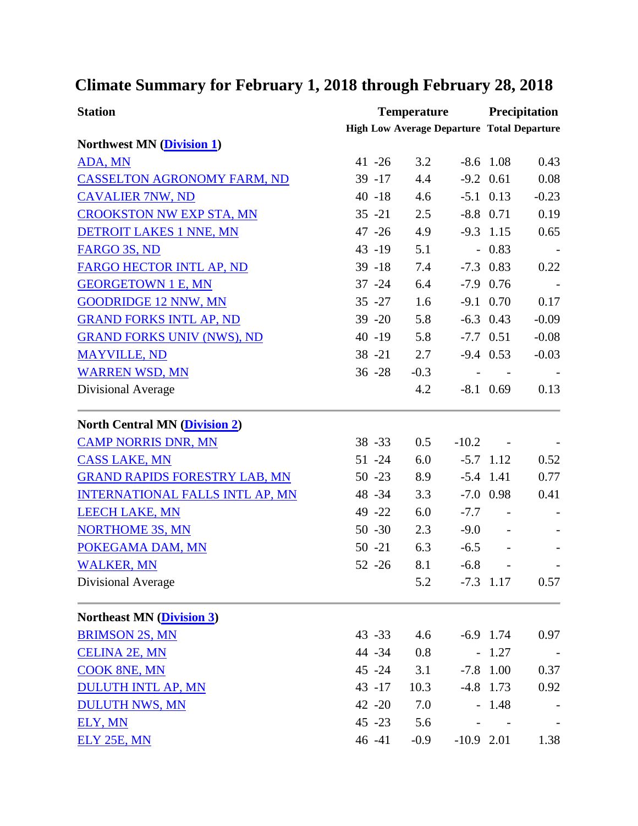## **Climate Summary for February 1, 2018 through February 28, 2018**

| <b>Station</b>                         |                                                   | <b>Temperature</b> |                          |                | <b>Precipitation</b> |  |
|----------------------------------------|---------------------------------------------------|--------------------|--------------------------|----------------|----------------------|--|
|                                        | <b>High Low Average Departure Total Departure</b> |                    |                          |                |                      |  |
| <b>Northwest MN (Division 1)</b>       |                                                   |                    |                          |                |                      |  |
| ADA, MN                                | $41 - 26$                                         | 3.2                |                          | $-8.6$ 1.08    | 0.43                 |  |
| <b>CASSELTON AGRONOMY FARM, ND</b>     | $39 - 17$                                         | 4.4                |                          | $-9.2$ 0.61    | 0.08                 |  |
| <b>CAVALIER 7NW, ND</b>                | $40 - 18$                                         | 4.6                |                          | $-5.1$ 0.13    | $-0.23$              |  |
| <b>CROOKSTON NW EXP STA, MN</b>        | $35 - 21$                                         | 2.5                |                          | $-8.8$ 0.71    | 0.19                 |  |
| <b>DETROIT LAKES 1 NNE, MN</b>         | $47 - 26$                                         | 4.9                |                          | $-9.3$ 1.15    | 0.65                 |  |
| FARGO 3S, ND                           | 43 -19                                            | 5.1                |                          | $-0.83$        |                      |  |
| FARGO HECTOR INTL AP, ND               | $39 - 18$                                         | 7.4                |                          | $-7.3$ 0.83    | 0.22                 |  |
| <b>GEORGETOWN 1 E, MN</b>              | $37 - 24$                                         | 6.4                |                          | $-7.9$ 0.76    |                      |  |
| <b>GOODRIDGE 12 NNW, MN</b>            | $35 - 27$                                         | 1.6                |                          | $-9.1$ 0.70    | 0.17                 |  |
| <b>GRAND FORKS INTL AP, ND</b>         | $39 - 20$                                         | 5.8                |                          | $-6.3$ 0.43    | $-0.09$              |  |
| <b>GRAND FORKS UNIV (NWS), ND</b>      | $40 - 19$                                         | 5.8                |                          | $-7.7$ 0.51    | $-0.08$              |  |
| <b>MAYVILLE, ND</b>                    | $38 - 21$                                         | 2.7                |                          | $-9.4$ 0.53    | $-0.03$              |  |
| <b>WARREN WSD, MN</b>                  | $36 - 28$                                         | $-0.3$             | $\overline{\phantom{a}}$ |                |                      |  |
| <b>Divisional Average</b>              |                                                   | 4.2                |                          | $-8.1$ 0.69    | 0.13                 |  |
| <b>North Central MN (Division 2)</b>   |                                                   |                    |                          |                |                      |  |
| <b>CAMP NORRIS DNR, MN</b>             | $38 - 33$                                         | 0.5                | $-10.2$                  |                |                      |  |
| <b>CASS LAKE, MN</b>                   | $51 - 24$                                         | 6.0                |                          | $-5.7$ 1.12    | 0.52                 |  |
| <b>GRAND RAPIDS FORESTRY LAB, MN</b>   | $50 - 23$                                         | 8.9                |                          | $-5.4$ 1.41    | 0.77                 |  |
| <b>INTERNATIONAL FALLS INTL AP, MN</b> | 48 - 34                                           | 3.3                |                          | $-7.0$ 0.98    | 0.41                 |  |
| <b>LEECH LAKE, MN</b>                  | 49 - 22                                           | 6.0                |                          | $-7.7 -$       |                      |  |
| <b>NORTHOME 3S, MN</b>                 | $50 - 30$                                         | 2.3                | $-9.0$                   | $\overline{a}$ |                      |  |
| POKEGAMA DAM, MN                       | $50 - 21$                                         | 6.3                | $-6.5$                   |                |                      |  |
| <b>WALKER, MN</b>                      | $52 - 26$                                         | 8.1                | $-6.8$                   |                |                      |  |
| Divisional Average                     |                                                   | 5.2                |                          | $-7.3$ 1.17    | 0.57                 |  |
| <b>Northeast MN (Division 3)</b>       |                                                   |                    |                          |                |                      |  |
| <b>BRIMSON 2S, MN</b>                  | $43 - 33$                                         | 4.6                |                          | $-6.9$ 1.74    | 0.97                 |  |
| <b>CELINA 2E, MN</b>                   | 44 - 34                                           | 0.8                |                          | $-1.27$        |                      |  |
| <b>COOK 8NE, MN</b>                    | 45 - 24                                           | 3.1                |                          | $-7.8$ 1.00    | 0.37                 |  |
| <b>DULUTH INTL AP, MN</b>              | $43 - 17$                                         | 10.3               |                          | $-4.8$ 1.73    | 0.92                 |  |
| <b>DULUTH NWS, MN</b>                  | 42 - 20                                           | 7.0                |                          | $-1.48$        |                      |  |
| ELY, MN                                | $45 - 23$                                         | 5.6                |                          |                |                      |  |
| ELY 25E, MN                            | 46 -41                                            | $-0.9$             | $-10.9$ 2.01             |                | 1.38                 |  |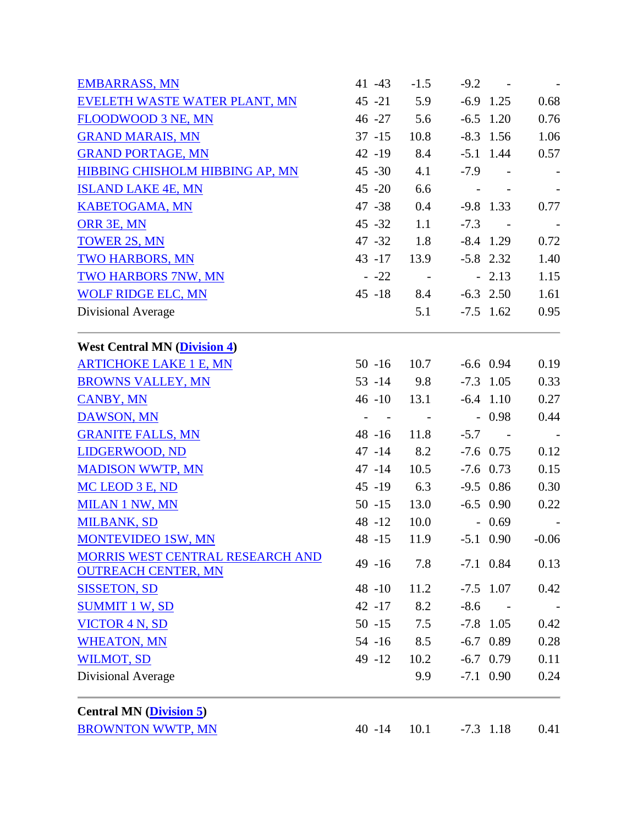| <b>EMBARRASS, MN</b>                    | 41 - 43                                     | $-1.5$                  | $-9.2$     | $\sim 100$ km s $^{-1}$ | $\sim$     |
|-----------------------------------------|---------------------------------------------|-------------------------|------------|-------------------------|------------|
| EVELETH WASTE WATER PLANT, MN           | $45 - 21$                                   | 5.9                     |            | $-6.9$ 1.25             | 0.68       |
| FLOODWOOD 3 NE, MN                      | 46 -27                                      | 5.6                     |            | $-6.5$ 1.20             | 0.76       |
| <b>GRAND MARAIS, MN</b>                 | $37 - 15$                                   | 10.8                    |            | $-8.3$ 1.56             | 1.06       |
| <b>GRAND PORTAGE, MN</b>                | $42 - 19$                                   | 8.4                     |            | $-5.1$ 1.44             | 0.57       |
| HIBBING CHISHOLM HIBBING AP, MN         | $45 - 30$                                   | 4.1                     |            | $-7.9 -$                | $\sim$ $-$ |
| <b>ISLAND LAKE 4E, MN</b>               | $45 - 20$                                   | 6.6                     | $\sim$ $-$ |                         |            |
| <b>KABETOGAMA, MN</b>                   | $47 - 38$                                   | 0.4                     |            | $-9.8$ 1.33             | 0.77       |
| ORR 3E, MN                              | $45 - 32$                                   | 1.1                     |            | $-7.3 -$                |            |
| <b>TOWER 2S, MN</b>                     | $47 - 32$                                   | 1.8                     |            | $-8.4$ 1.29             | 0.72       |
| <b>TWO HARBORS, MN</b>                  | $43 - 17$                                   | 13.9                    |            | $-5.8$ 2.32             | 1.40       |
| <b>TWO HARBORS 7NW, MN</b>              | $-22$                                       | $\sim 100$              |            | $-2.13$                 | 1.15       |
| <b>WOLF RIDGE ELC, MN</b>               | $45 - 18$                                   | 8.4                     |            | $-6.3$ 2.50             | 1.61       |
| Divisional Average                      |                                             | 5.1                     |            | $-7.5$ 1.62             | 0.95       |
| <b>West Central MN (Division 4)</b>     |                                             |                         |            |                         |            |
| <b>ARTICHOKE LAKE 1 E, MN</b>           | $50 - 16$                                   | 10.7                    |            | $-6.6$ 0.94             | 0.19       |
| <b>BROWNS VALLEY, MN</b>                | $53 - 14$ 9.8                               |                         |            | $-7.3$ 1.05             | 0.33       |
| <b>CANBY, MN</b>                        | 46 -10 13.1                                 |                         |            | $-6.4$ 1.10             | 0.27       |
| <b>DAWSON, MN</b>                       | $\omega_{\rm{max}}$ and $\omega_{\rm{max}}$ | $\sim 100$ km s $^{-1}$ |            | $-0.98$                 | 0.44       |
| <b>GRANITE FALLS, MN</b>                | $48 - 16$                                   | 11.8                    |            | $-5.7 -$                |            |
| LIDGERWOOD, ND                          | $47 - 14$                                   | 8.2                     |            | $-7.6$ 0.75             | 0.12       |
| <b>MADISON WWTP, MN</b>                 | $47 - 14$                                   | 10.5                    |            | $-7.6$ 0.73             | 0.15       |
| MC LEOD 3 E, ND                         | $45 - 19$                                   | 6.3                     |            | $-9.5$ 0.86             | 0.30       |
| <b>MILAN 1 NW, MN</b>                   | $50 - 15$                                   | 13.0                    |            | $-6.5$ 0.90             | 0.22       |
| <b>MILBANK, SD</b>                      | 48 -12                                      | 10.0                    |            | $-0.69$                 |            |
| <b>MONTEVIDEO 1SW, MN</b>               | 48 -15                                      | 11.9                    |            | $-5.1$ 0.90             | $-0.06$    |
| MORRIS WEST CENTRAL RESEARCH AND        | $49 - 16$                                   | 7.8                     |            | $-7.1$ 0.84             | 0.13       |
| <b>OUTREACH CENTER, MN</b>              |                                             |                         |            |                         |            |
| <b>SISSETON, SD</b>                     | 48 -10                                      | 11.2                    |            | $-7.5$ 1.07             | 0.42       |
| <b>SUMMIT 1 W, SD</b>                   | $42 - 17$                                   | 8.2                     | $-8.6$     | $\sim$                  |            |
| <b>VICTOR 4 N, SD</b>                   | $50 - 15$                                   | 7.5                     |            | $-7.8$ 1.05             | 0.42       |
| <b>WHEATON, MN</b>                      | $54 - 16$                                   | 8.5                     |            | $-6.7$ 0.89             | 0.28       |
| <b>WILMOT, SD</b>                       | $49 - 12$                                   | 10.2                    |            | $-6.7$ 0.79             | 0.11       |
| Divisional Average                      |                                             | 9.9                     |            | $-7.1$ 0.90             | 0.24       |
| <b>Central MN</b> ( <i>Division 5</i> ) |                                             |                         |            |                         |            |
| <b>BROWNTON WWTP, MN</b>                | $40 - 14$                                   | 10.1                    |            | $-7.3$ 1.18             | 0.41       |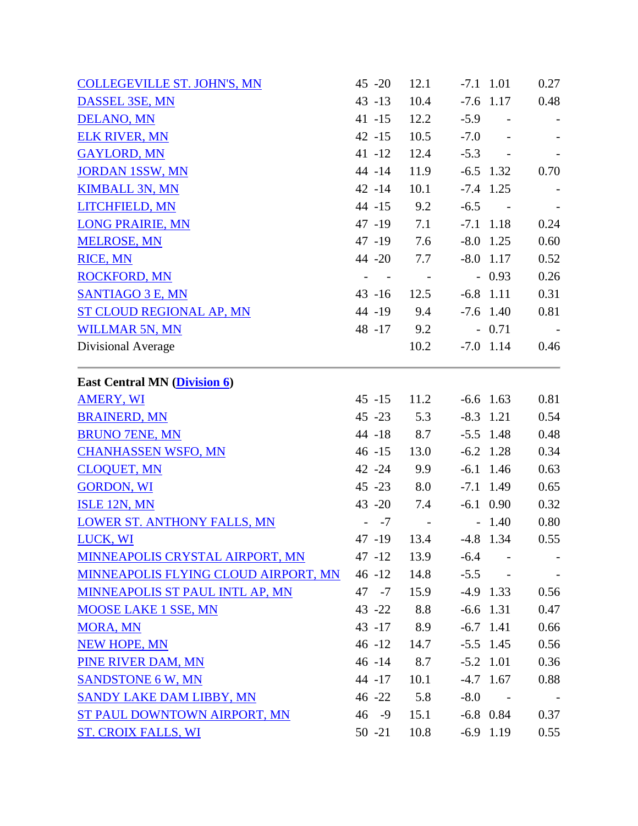| <b>COLLEGEVILLE ST. JOHN'S, MN</b>   | $45 - 20$                                   | 12.1       |        | $-7.1$ 1.01      | 0.27       |
|--------------------------------------|---------------------------------------------|------------|--------|------------------|------------|
| DASSEL 3SE, MN                       | $43 - 13$                                   | 10.4       |        | $-7.6$ 1.17      | 0.48       |
| DELANO, MN                           | $41 - 15$                                   | 12.2       |        | $-5.9 -$         |            |
| <b>ELK RIVER, MN</b>                 | $42 - 15$                                   | 10.5       | $-7.0$ | $\sim 100$       |            |
| <b>GAYLORD, MN</b>                   | $41 - 12$                                   | 12.4       |        | $-5.3 -$         |            |
| <b>JORDAN 1SSW, MN</b>               | $44 - 14$                                   | 11.9       |        | $-6.5$ 1.32      | 0.70       |
| <b>KIMBALL 3N, MN</b>                | $42 - 14$                                   | 10.1       |        | $-7.4$ 1.25      |            |
| LITCHFIELD, MN                       | 44 -15                                      | 9.2        | $-6.5$ | $\sim 10^{-1}$ m |            |
| <b>LONG PRAIRIE, MN</b>              | $47 - 19$                                   | 7.1        |        | $-7.1$ 1.18      | 0.24       |
| <b>MELROSE, MN</b>                   | 47 -19                                      | 7.6        |        | $-8.0$ 1.25      | 0.60       |
| <b>RICE, MN</b>                      | 44 -20                                      | 7.7        |        | $-8.0$ 1.17      | 0.52       |
| <b>ROCKFORD, MN</b>                  | $\omega_{\rm{max}}$ and $\omega_{\rm{max}}$ | $\sim$ $-$ |        | $-0.93$          | 0.26       |
| <b>SANTIAGO 3 E, MN</b>              | $43 - 16$                                   | 12.5       |        | $-6.8$ 1.11      | 0.31       |
| <b>ST CLOUD REGIONAL AP, MN</b>      | $44 - 19$                                   | 9.4        |        | $-7.6$ 1.40      | 0.81       |
| <b>WILLMAR 5N, MN</b>                | 48 - 17                                     | 9.2        |        | $-0.71$          | $\sim$ $-$ |
| Divisional Average                   |                                             | 10.2       |        | $-7.0$ 1.14      | 0.46       |
| <b>East Central MN (Division 6)</b>  |                                             |            |        |                  |            |
| <b>AMERY, WI</b>                     | $45 - 15$                                   | 11.2       |        | $-6.6$ 1.63      | 0.81       |
| <b>BRAINERD, MN</b>                  | $45 - 23$                                   | 5.3        |        | $-8.3$ 1.21      | 0.54       |
| <b>BRUNO 7ENE, MN</b>                | 44 -18                                      | 8.7        |        | $-5.5$ 1.48      | 0.48       |
| <b>CHANHASSEN WSFO, MN</b>           | $46 - 15$                                   | 13.0       |        | $-6.2$ 1.28      | 0.34       |
| <b>CLOQUET, MN</b>                   | $42 - 24$                                   | 9.9        |        | $-6.1$ 1.46      | 0.63       |
| <b>GORDON, WI</b>                    | $45 - 23$                                   | 8.0        |        | $-7.1$ 1.49      | 0.65       |
| <b>ISLE 12N, MN</b>                  | $43 - 20$                                   | 7.4        |        | $-6.1$ 0.90      | 0.32       |
| <b>LOWER ST. ANTHONY FALLS, MN</b>   | $- -7$                                      | $\sim$ $-$ |        | $-1.40$          | 0.80       |
| LUCK, WI                             | 47 -19                                      | 13.4       |        | $-4.8$ 1.34      | 0.55       |
| MINNEAPOLIS CRYSTAL AIRPORT, MN      | 47 -12                                      | 13.9       | $-6.4$ |                  |            |
| MINNEAPOLIS FLYING CLOUD AIRPORT, MN | $46 - 12$                                   | 14.8       | $-5.5$ | $\sim$           |            |
| MINNEAPOLIS ST PAUL INTL AP, MN      | 47 -7                                       | 15.9       |        | $-4.9$ 1.33      | 0.56       |
| <b>MOOSE LAKE 1 SSE, MN</b>          | $43 - 22$                                   | 8.8        |        | $-6.6$ 1.31      | 0.47       |
| <b>MORA, MN</b>                      | 43 -17 8.9                                  |            |        | $-6.7$ 1.41      | 0.66       |
| <b>NEW HOPE, MN</b>                  | $46 - 12$                                   | 14.7       |        | $-5.5$ 1.45      | 0.56       |
| PINE RIVER DAM, MN                   | $46 - 14$                                   | 8.7        |        | $-5.2$ 1.01      | 0.36       |
| <b>SANDSTONE 6 W, MN</b>             | 44 -17                                      | 10.1       |        | $-4.7$ 1.67      | 0.88       |
| SANDY LAKE DAM LIBBY, MN             | $46 - 22$                                   | 5.8        | $-8.0$ | $\sim$ $-$       |            |
| ST PAUL DOWNTOWN AIRPORT, MN         | $46 - 9$                                    | 15.1       |        | $-6.8$ 0.84      | 0.37       |
| <b>ST. CROIX FALLS, WI</b>           | $50 - 21$                                   | 10.8       |        | $-6.9$ 1.19      | 0.55       |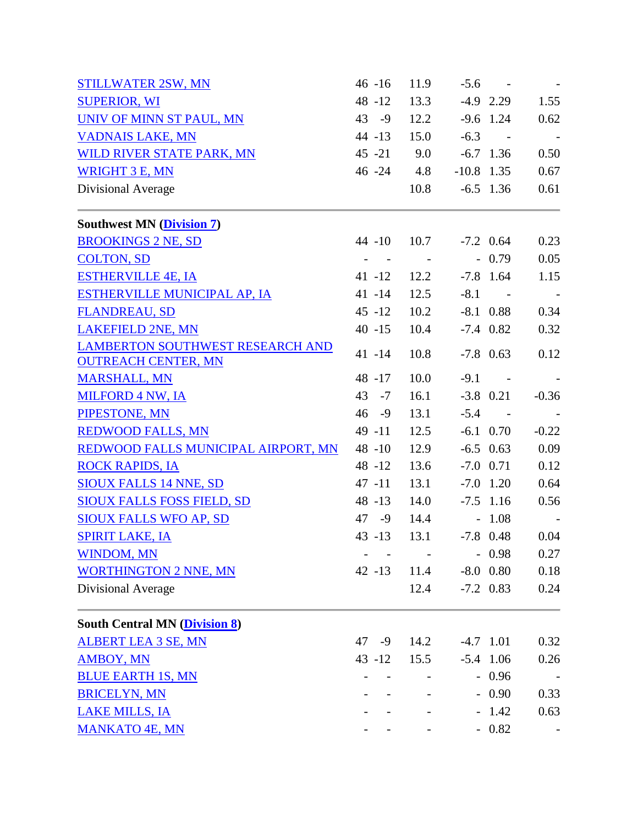| <b>STILLWATER 2SW, MN</b>                                      | $46 - 16$            | 11.9                     |              | $-5.6 -$                |            |
|----------------------------------------------------------------|----------------------|--------------------------|--------------|-------------------------|------------|
| <b>SUPERIOR, WI</b>                                            | 48 -12               | 13.3                     |              | $-4.9$ 2.29             | 1.55       |
| UNIV OF MINN ST PAUL, MN                                       | $43 - 9$             | 12.2                     |              | $-9.6$ 1.24             | 0.62       |
| <b>VADNAIS LAKE, MN</b>                                        | $44 - 13$            | 15.0                     | $-6.3$       | $\sim 100$ km s $^{-1}$ |            |
| WILD RIVER STATE PARK, MN                                      | $45 - 21$            | 9.0                      |              | $-6.7$ 1.36             | 0.50       |
| <b>WRIGHT 3 E, MN</b>                                          | 46 - 24 4.8          |                          | $-10.8$ 1.35 |                         | 0.67       |
| Divisional Average                                             |                      | 10.8                     |              | $-6.5$ 1.36             | 0.61       |
| <b>Southwest MN (Division 7)</b>                               |                      |                          |              |                         |            |
| <b>BROOKINGS 2 NE, SD</b>                                      | $44 - 10$            | 10.7                     |              | $-7.2$ 0.64             | 0.23       |
| <b>COLTON, SD</b>                                              | $\sim$<br>$\sim$ $-$ | <b>Contract Contract</b> |              | $-0.79$                 | 0.05       |
| <b>ESTHERVILLE 4E, IA</b>                                      | $41 - 12$            | 12.2                     |              | $-7.8$ 1.64             | 1.15       |
| ESTHERVILLE MUNICIPAL AP, IA                                   | $41 - 14$            | 12.5                     |              | $-8.1 -$                |            |
| <b>FLANDREAU, SD</b>                                           | $45 - 12$            | 10.2                     |              | $-8.1$ 0.88             | 0.34       |
| <b>LAKEFIELD 2NE, MN</b>                                       | $40 - 15$            | 10.4                     |              | $-7.4$ 0.82             | 0.32       |
| LAMBERTON SOUTHWEST RESEARCH AND<br><b>OUTREACH CENTER, MN</b> | $41 - 14$            | 10.8                     |              | $-7.8$ 0.63             | 0.12       |
| <b>MARSHALL, MN</b>                                            | 48 -17               | 10.0                     | $-9.1$       | $\sim 100$              |            |
| <b>MILFORD 4 NW, IA</b>                                        | $43 - 7$             | 16.1                     |              | $-3.8$ 0.21             | $-0.36$    |
| PIPESTONE, MN                                                  | $46 - 9$             | 13.1                     |              | $-5.4 -$                | $\sim$ $-$ |
| <b>REDWOOD FALLS, MN</b>                                       | $49 - 11$            | 12.5                     |              | $-6.1$ 0.70             | $-0.22$    |
| REDWOOD FALLS MUNICIPAL AIRPORT, MN                            | $48 - 10$            | 12.9                     |              | $-6.5$ 0.63             | 0.09       |
| <b>ROCK RAPIDS, IA</b>                                         | $48 - 12$            | 13.6                     |              | $-7.0$ 0.71             | 0.12       |
| <b>SIOUX FALLS 14 NNE, SD</b>                                  | $47 - 11$            | 13.1                     |              | $-7.0$ 1.20             | 0.64       |
| <b>SIOUX FALLS FOSS FIELD, SD</b>                              | 48 -13               | 14.0                     |              | $-7.5$ 1.16             | 0.56       |
| <b>SIOUX FALLS WFO AP, SD</b>                                  | 47 -9                | 14.4                     |              | $-1.08$                 |            |
| <b>SPIRIT LAKE, IA</b>                                         | $43 - 13$            | 13.1                     |              | $-7.8$ 0.48             | 0.04       |
| <b>WINDOM, MN</b>                                              |                      |                          |              | $-0.98$                 | 0.27       |
| <b>WORTHINGTON 2 NNE, MN</b>                                   | $42 - 13$            | 11.4                     |              | $-8.0$ 0.80             | 0.18       |
| Divisional Average                                             |                      | 12.4                     |              | $-7.2$ 0.83             | 0.24       |
| <b>South Central MN (Division 8)</b>                           |                      |                          |              |                         |            |
| <b>ALBERT LEA 3 SE, MN</b>                                     | 47 -9                | 14.2                     |              | $-4.7$ 1.01             | 0.32       |
| <b>AMBOY, MN</b>                                               | $43 - 12$            | 15.5                     |              | $-5.4$ 1.06             | 0.26       |
| <b>BLUE EARTH 1S, MN</b>                                       |                      |                          |              | $-0.96$                 |            |
| <b>BRICELYN, MN</b>                                            |                      |                          |              | $-0.90$                 | 0.33       |
| <b>LAKE MILLS, IA</b>                                          |                      |                          |              | $-1.42$                 | 0.63       |
| <b>MANKATO 4E, MN</b>                                          |                      |                          |              | $-0.82$                 |            |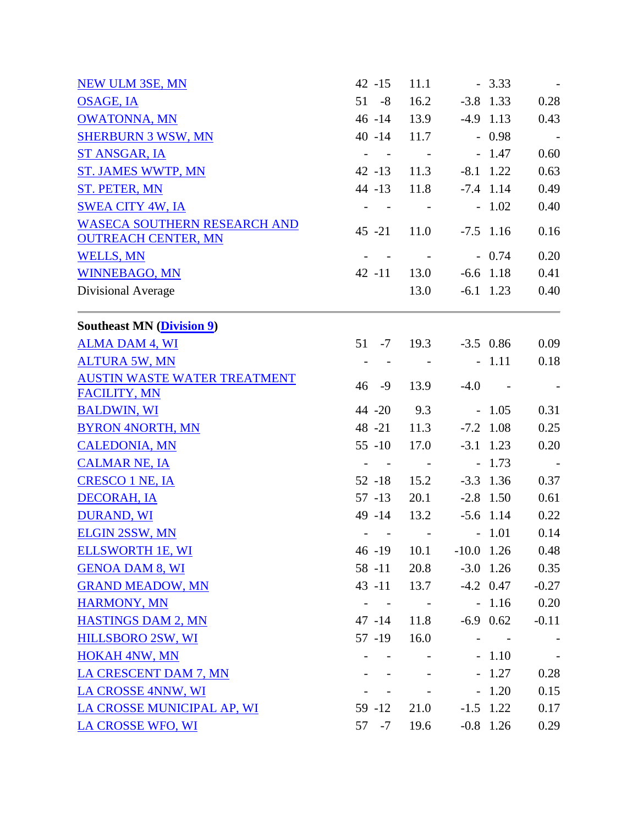| <b>NEW ULM 3SE, MN</b>                                            | $42 - 15$                              | 11.1                     |              | $-3.33$     |            |
|-------------------------------------------------------------------|----------------------------------------|--------------------------|--------------|-------------|------------|
| <b>OSAGE, IA</b>                                                  | $51 - 8$                               | 16.2                     |              | $-3.8$ 1.33 | 0.28       |
| <b>OWATONNA, MN</b>                                               | $46 - 14$                              | 13.9                     |              | $-4.9$ 1.13 | 0.43       |
| <b>SHERBURN 3 WSW, MN</b>                                         | $40 - 14$                              | 11.7                     |              | $-0.98$     | $\sim$ $-$ |
| ST ANSGAR, IA                                                     | $\sim$<br>$\sim 100$                   | $\sim$                   |              | $-1.47$     | 0.60       |
| <b>ST. JAMES WWTP, MN</b>                                         | $42 - 13$                              | 11.3                     |              | $-8.1$ 1.22 | 0.63       |
| ST. PETER, MN                                                     | $44 - 13$                              | 11.8                     |              | $-7.4$ 1.14 | 0.49       |
| <b>SWEA CITY 4W, IA</b>                                           |                                        |                          |              | $-1.02$     | 0.40       |
| <b>WASECA SOUTHERN RESEARCH AND</b><br><b>OUTREACH CENTER, MN</b> | $45 - 21$                              | 11.0                     |              | $-7.5$ 1.16 | 0.16       |
| <b>WELLS, MN</b>                                                  |                                        |                          |              | $-0.74$     | 0.20       |
| <b>WINNEBAGO, MN</b>                                              | $42 - 11$                              | 13.0                     |              | $-6.6$ 1.18 | 0.41       |
| Divisional Average                                                |                                        | 13.0                     |              | $-6.1$ 1.23 | 0.40       |
| <b>Southeast MN (Division 9)</b>                                  |                                        |                          |              |             |            |
| <b>ALMA DAM 4, WI</b>                                             | $51 - 7$                               | 19.3                     |              | $-3.5$ 0.86 | 0.09       |
| <b>ALTURA 5W, MN</b>                                              | $\overline{\phantom{a}}$<br>$\sim$ $-$ | $\sim$ $-$               |              | $-1.11$     | 0.18       |
| <b>AUSTIN WASTE WATER TREATMENT</b><br><b>FACILITY, MN</b>        | $46 - 9$                               | 13.9                     | $-4.0$       | $\sim 100$  |            |
| <b>BALDWIN, WI</b>                                                | $44 - 20$                              | 9.3                      |              | $-1.05$     | 0.31       |
| <b>BYRON 4NORTH, MN</b>                                           | 48 -21                                 | 11.3                     |              | $-7.2$ 1.08 | 0.25       |
| <b>CALEDONIA, MN</b>                                              | $55 - 10$                              | 17.0                     |              | $-3.1$ 1.23 | 0.20       |
| <b>CALMAR NE, IA</b>                                              | $\sim$ $-$                             | $\sim 100$               |              | $-1.73$     |            |
| <b>CRESCO 1 NE, IA</b>                                            | $52 - 18$                              | 15.2                     |              | $-3.3$ 1.36 | 0.37       |
| <b>DECORAH, IA</b>                                                | $57 - 13$                              | 20.1                     |              | $-2.8$ 1.50 | 0.61       |
| <b>DURAND, WI</b>                                                 | 49 -14                                 | 13.2                     |              | $-5.6$ 1.14 | 0.22       |
| <b>ELGIN 2SSW, MN</b>                                             |                                        | <b>Contract Contract</b> |              | $-1.01$     | 0.14       |
| <b>ELLSWORTH 1E, WI</b>                                           | 46 -19                                 | 10.1                     | $-10.0$ 1.26 |             | 0.48       |
| <b>GENOA DAM 8, WI</b>                                            | $58 - 11$                              | 20.8                     |              | $-3.0$ 1.26 | 0.35       |
| <b>GRAND MEADOW, MN</b>                                           | $43 - 11$                              | 13.7                     |              | $-4.2$ 0.47 | $-0.27$    |
| <b>HARMONY, MN</b>                                                |                                        | $\sim$                   |              | $-1.16$     | 0.20       |
| <b>HASTINGS DAM 2, MN</b>                                         | $47 - 14$                              | 11.8                     |              | $-6.9$ 0.62 | $-0.11$    |
| HILLSBORO 2SW, WI                                                 | $57 - 19$                              | 16.0                     |              |             |            |
| <b>HOKAH 4NW, MN</b>                                              |                                        |                          |              | $-1.10$     |            |
| LA CRESCENT DAM 7, MN                                             |                                        |                          |              | $-1.27$     | 0.28       |
| LA CROSSE 4NNW, WI                                                |                                        | $\overline{\phantom{a}}$ |              | $-1.20$     | 0.15       |
| LA CROSSE MUNICIPAL AP, WI                                        | 59 - 12                                | 21.0                     |              | $-1.5$ 1.22 | 0.17       |
| LA CROSSE WFO, WI                                                 | 57 -7                                  | 19.6                     |              | $-0.8$ 1.26 | 0.29       |